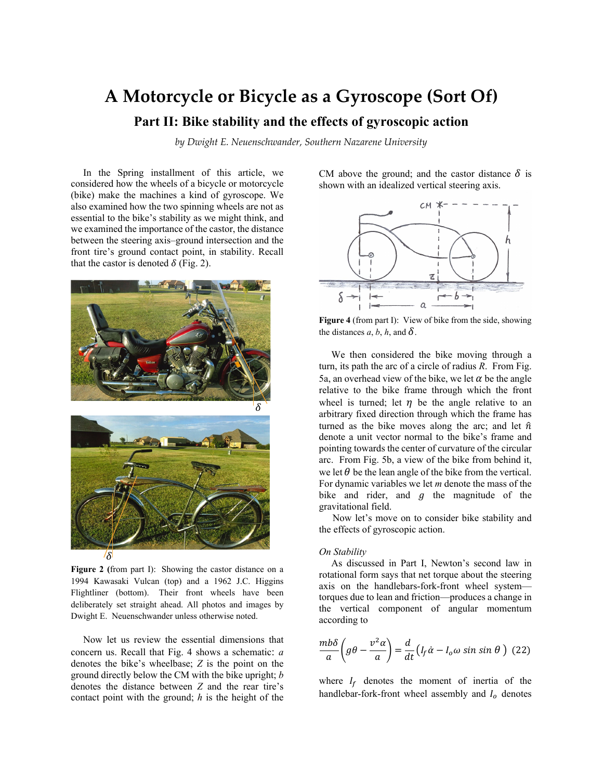# **A Motorcycle or Bicycle as a Gyroscope (Sort Of)**

## **Part II: Bike stability and the effects of gyroscopic action**

*by Dwight E. Neuenschwander, Southern Nazarene University*

 In the Spring installment of this article, we considered how the wheels of a bicycle or motorcycle (bike) make the machines a kind of gyroscope. We also examined how the two spinning wheels are not as essential to the bike's stability as we might think, and we examined the importance of the castor, the distance between the steering axis–ground intersection and the front tire's ground contact point, in stability. Recall that the castor is denoted  $\delta$  (Fig. 2).



**Figure 2 (**from part I): Showing the castor distance on a 1994 Kawasaki Vulcan (top) and a 1962 J.C. Higgins Flightliner (bottom). Their front wheels have been deliberately set straight ahead. All photos and images by Dwight E. Neuenschwander unless otherwise noted.

 Now let us review the essential dimensions that concern us. Recall that Fig. 4 shows a schematic: *a*  denotes the bike's wheelbase; *Z* is the point on the ground directly below the CM with the bike upright; *b*  denotes the distance between *Z* and the rear tire's contact point with the ground; *h* is the height of the CM above the ground; and the castor distance  $\delta$  is shown with an idealized vertical steering axis.



**Figure 4** (from part I): View of bike from the side, showing the distances  $a, b, h$ , and  $\delta$ .

 We then considered the bike moving through a turn, its path the arc of a circle of radius *R*. From Fig. 5a, an overhead view of the bike, we let  $\alpha$  be the angle relative to the bike frame through which the front wheel is turned; let  $\eta$  be the angle relative to an arbitrary fixed direction through which the frame has turned as the bike moves along the arc; and let  $\hat{n}$ denote a unit vector normal to the bike's frame and pointing towards the center of curvature of the circular arc. From Fig. 5b, a view of the bike from behind it, we let  $\theta$  be the lean angle of the bike from the vertical. For dynamic variables we let *m* denote the mass of the bike and rider, and  $g$  the magnitude of the gravitational field.

 Now let's move on to consider bike stability and the effects of gyroscopic action.

### *On Stability*

 As discussed in Part I, Newton's second law in rotational form says that net torque about the steering axis on the handlebars-fork-front wheel system torques due to lean and friction—produces a change in the vertical component of angular momentum according to

$$
\frac{mb\delta}{a}\left(g\theta - \frac{v^2\alpha}{a}\right) = \frac{d}{dt}\left(I_f\dot{\alpha} - I_o\omega\sin\sin\theta\right)
$$
 (22)

where  $I_f$  denotes the moment of inertia of the handlebar-fork-front wheel assembly and  $I_0$  denotes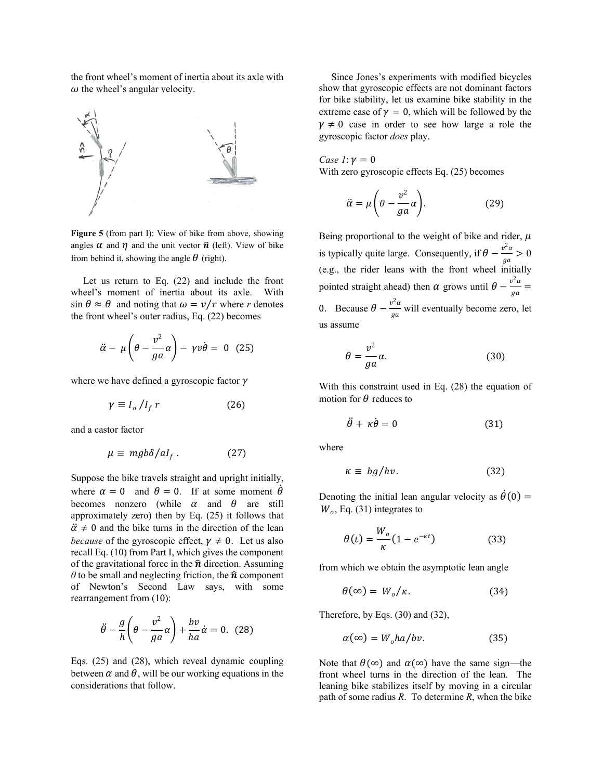the front wheel's moment of inertia about its axle with  $\omega$  the wheel's angular velocity.



**Figure 5** (from part I): View of bike from above, showing angles  $\alpha$  and  $\eta$  and the unit vector  $\hat{\mathbf{n}}$  (left). View of bike from behind it, showing the angle  $\theta$  (right).

 Let us return to Eq. (22) and include the front wheel's moment of inertia about its axle. With  $\sin \theta \approx \theta$  and noting that  $\omega = v/r$  where *r* denotes the front wheel's outer radius, Eq. (22) becomes

$$
\ddot{\alpha} - \mu \left( \theta - \frac{v^2}{g a} \alpha \right) - \gamma v \dot{\theta} = 0 \quad (25)
$$

where we have defined a gyroscopic factor  $\gamma$ 

$$
\gamma \equiv I_o / I_f \, r \tag{26}
$$

and a castor factor

$$
\mu \equiv mgb\delta/al_f \ . \qquad (27)
$$

Suppose the bike travels straight and upright initially, where  $\alpha = 0$  and  $\theta = 0$ . If at some moment  $\theta$ becomes nonzero (while  $\alpha$  and  $\theta$  are still approximately zero) then by Eq. (25) it follows that  $\ddot{\alpha} \neq 0$  and the bike turns in the direction of the lean *because* of the gyroscopic effect,  $\gamma \neq 0$ . Let us also recall Eq. (10) from Part I, which gives the component of the gravitational force in the  $\hat{\boldsymbol{n}}$  direction. Assuming  $\theta$  to be small and neglecting friction, the  $\hat{\boldsymbol{n}}$  component of Newton's Second Law says, with some rearrangement from (10):

$$
\ddot{\theta} - \frac{g}{h} \left( \theta - \frac{v^2}{ga} \alpha \right) + \frac{bv}{ha} \dot{\alpha} = 0. \quad (28)
$$

Eqs. (25) and (28), which reveal dynamic coupling between  $\alpha$  and  $\theta$ , will be our working equations in the considerations that follow.

 Since Jones's experiments with modified bicycles show that gyroscopic effects are not dominant factors for bike stability, let us examine bike stability in the extreme case of  $\gamma = 0$ , which will be followed by the  $y \neq 0$  case in order to see how large a role the gyroscopic factor *does* play.

*Case 1*:  $\nu = 0$ With zero gyroscopic effects Eq. (25) becomes

$$
\ddot{\alpha} = \mu \left( \theta - \frac{v^2}{g a} \alpha \right). \tag{29}
$$

Being proportional to the weight of bike and rider,  $\mu$ is typically quite large. Consequently, if  $\theta - \frac{v^2 a}{ga} > 0$ (e.g., the rider leans with the front wheel initially pointed straight ahead) then  $\alpha$  grows until  $\theta - \frac{v^2 \alpha}{g a} =$ 0. Because  $\theta - \frac{v^2 a}{g a}$  will eventually become zero, let us assume

$$
\theta = \frac{v^2}{ga} \alpha. \tag{30}
$$

With this constraint used in Eq. (28) the equation of motion for  $\theta$  reduces to

$$
\ddot{\theta} + \kappa \dot{\theta} = 0 \tag{31}
$$

where

$$
\kappa \equiv bg/hv. \tag{32}
$$

Denoting the initial lean angular velocity as  $\dot{\theta}(0)$  =  $W<sub>o</sub>$ , Eq. (31) integrates to

$$
\theta(t) = \frac{W_o}{\kappa} (1 - e^{-\kappa t})
$$
\n(33)

from which we obtain the asymptotic lean angle

$$
\theta(\infty) = W_o/\kappa. \tag{34}
$$

Therefore, by Eqs. (30) and (32),

$$
\alpha(\infty) = W_o h a/bv. \tag{35}
$$

Note that  $\theta(\infty)$  and  $\alpha(\infty)$  have the same sign—the front wheel turns in the direction of the lean. The leaning bike stabilizes itself by moving in a circular path of some radius *R*. To determine *R*, when the bike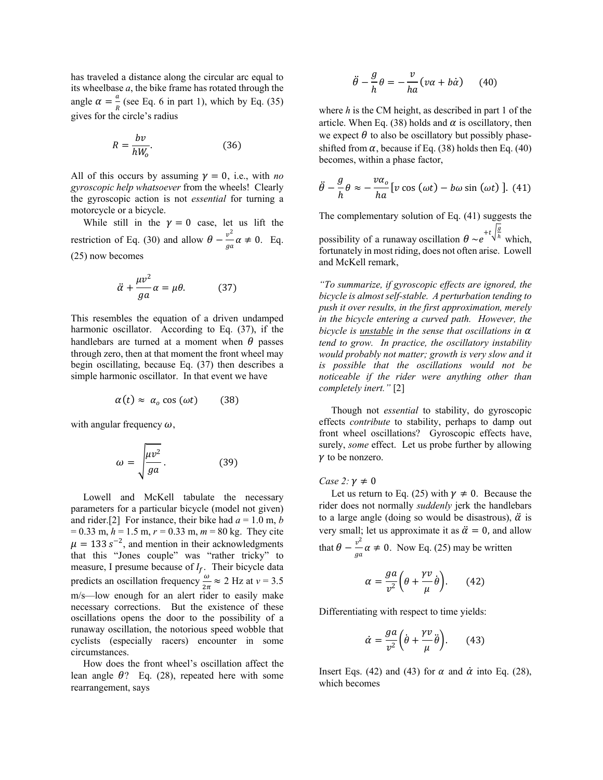has traveled a distance along the circular arc equal to its wheelbase *a*, the bike frame has rotated through the angle  $\alpha = \frac{a}{R}$  (see Eq. 6 in part 1), which by Eq. (35) gives for the circle's radius

$$
R = \frac{bv}{hW_o}.\tag{36}
$$

All of this occurs by assuming  $\gamma = 0$ , i.e., with *no gyroscopic help whatsoever* from the wheels! Clearly the gyroscopic action is not *essential* for turning a motorcycle or a bicycle.

While still in the  $\gamma = 0$  case, let us lift the restriction of Eq. (30) and allow  $\theta - \frac{v^2}{ga} \alpha \neq 0$ . Eq. (25) now becomes

$$
\ddot{\alpha} + \frac{\mu v^2}{ga} \alpha = \mu \theta. \tag{37}
$$

This resembles the equation of a driven undamped harmonic oscillator. According to Eq. (37), if the handlebars are turned at a moment when  $\theta$  passes through zero, then at that moment the front wheel may begin oscillating, because Eq. (37) then describes a simple harmonic oscillator. In that event we have

$$
\alpha(t) \approx \alpha_o \cos(\omega t) \qquad (38)
$$

with angular frequency  $\omega$ ,

$$
\omega = \sqrt{\frac{\mu v^2}{g a}}.
$$
 (39)

 Lowell and McKell tabulate the necessary parameters for a particular bicycle (model not given) and rider.<sup>[2]</sup> For instance, their bike had  $a = 1.0$  m, *b* = 0.33 m, *h* = 1.5 m, *r =* 0.33 m, *m* = 80 kg. They cite  $\mu = 133$  s<sup>-2</sup>, and mention in their acknowledgments that this "Jones couple" was "rather tricky" to measure, I presume because of  $I_f$ . Their bicycle data predicts an oscillation frequency  $\frac{\omega}{2\pi} \approx 2$  Hz at  $v = 3.5$ m/s—low enough for an alert rider to easily make necessary corrections. But the existence of these oscillations opens the door to the possibility of a runaway oscillation, the notorious speed wobble that cyclists (especially racers) encounter in some circumstances.

 How does the front wheel's oscillation affect the lean angle  $\theta$ ? Eq. (28), repeated here with some rearrangement, says

$$
\ddot{\theta} - \frac{g}{h}\theta = -\frac{v}{ha}(v\alpha + b\dot{\alpha}) \qquad (40)
$$

where *h* is the CM height, as described in part 1 of the article. When Eq. (38) holds and  $\alpha$  is oscillatory, then we expect  $\theta$  to also be oscillatory but possibly phaseshifted from  $\alpha$ , because if Eq. (38) holds then Eq. (40) becomes, within a phase factor,

$$
\ddot{\theta} - \frac{g}{h} \theta \approx -\frac{v\alpha_o}{ha} \left[ v \cos{(\omega t)} - b\omega \sin{(\omega t)} \right]. (41)
$$

The complementary solution of Eq. (41) suggests the possibility of a runaway oscillation  $\theta \sim e$ + $t\sqrt{\frac{g}{h}}$  which, fortunately in most riding, does not often arise. Lowell and McKell remark,

*"To summarize, if gyroscopic effects are ignored, the bicycle is almost self-stable. A perturbation tending to push it over results, in the first approximation, merely in the bicycle entering a curved path. However, the bicycle is unstable in the sense that oscillations in tend to grow. In practice, the oscillatory instability would probably not matter; growth is very slow and it is possible that the oscillations would not be noticeable if the rider were anything other than completely inert."* [2]

 Though not *essential* to stability, do gyroscopic effects *contribute* to stability, perhaps to damp out front wheel oscillations? Gyroscopic effects have, surely, *some* effect. Let us probe further by allowing  $\gamma$  to be nonzero.

#### *Case 2:*  $\gamma \neq 0$

Let us return to Eq. (25) with  $\gamma \neq 0$ . Because the rider does not normally *suddenly* jerk the handlebars to a large angle (doing so would be disastrous),  $\ddot{\alpha}$  is very small; let us approximate it as  $\ddot{\alpha} = 0$ , and allow that  $\theta - \frac{v^2}{ga} \alpha \neq 0$ . Now Eq. (25) may be written

$$
\alpha = \frac{ga}{v^2} \left( \theta + \frac{\gamma v}{\mu} \dot{\theta} \right). \tag{42}
$$

Differentiating with respect to time yields:

$$
\dot{\alpha} = \frac{ga}{v^2} \left( \dot{\theta} + \frac{\gamma v}{\mu} \ddot{\theta} \right). \tag{43}
$$

Insert Eqs. (42) and (43) for  $\alpha$  and  $\dot{\alpha}$  into Eq. (28), which becomes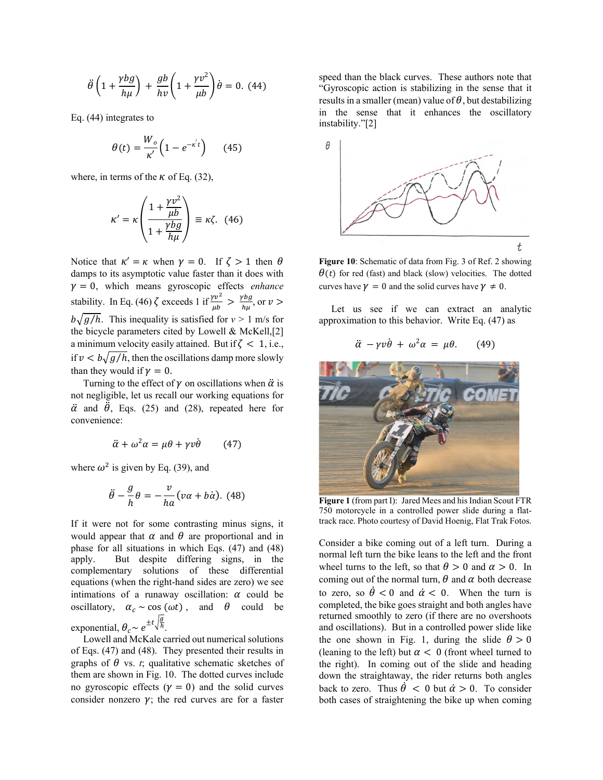$$
\ddot{\theta}\left(1+\frac{\gamma bg}{h\mu}\right)+\frac{gb}{hv}\left(1+\frac{\gamma v^2}{\mu b}\right)\dot{\theta}=0.
$$
 (44)

Eq. (44) integrates to

$$
\theta(t) = \frac{W_o}{\kappa'} \Big( 1 - e^{-\kappa' t} \Big) \qquad (45)
$$

where, in terms of the  $\kappa$  of Eq. (32),

$$
\kappa' = \kappa \left( \frac{1 + \frac{\gamma v^2}{\mu b}}{1 + \frac{\gamma bg}{h \mu}} \right) \equiv \kappa \zeta. \tag{46}
$$

Notice that  $\kappa' = \kappa$  when  $\gamma = 0$ . If  $\zeta > 1$  then  $\theta$ damps to its asymptotic value faster than it does with  $y = 0$ , which means gyroscopic effects *enhance* stability. In Eq. (46)  $\zeta$  exceeds 1 if  $\frac{\gamma v^2}{\mu b} > \frac{\gamma bg}{h\mu}$ , or  $v >$  $b\sqrt{g/h}$ . This inequality is satisfied for  $v > 1$  m/s for the bicycle parameters cited by Lowell & McKell,[2] a minimum velocity easily attained. But if  $\zeta$  < 1, i.e., if  $v < b\sqrt{g/h}$ , then the oscillations damp more slowly than they would if  $\nu = 0$ .

Turning to the effect of  $\gamma$  on oscillations when  $\ddot{\alpha}$  is not negligible, let us recall our working equations for  $\ddot{\alpha}$  and  $\ddot{\theta}$ , Eqs. (25) and (28), repeated here for convenience:

$$
\ddot{\alpha} + \omega^2 \alpha = \mu \theta + \gamma v \dot{\theta} \qquad (47)
$$

where  $\omega^2$  is given by Eq. (39), and

$$
\ddot{\theta} - \frac{g}{h}\theta = -\frac{v}{ha}(v\alpha + b\dot{\alpha}). \tag{48}
$$

If it were not for some contrasting minus signs, it would appear that  $\alpha$  and  $\theta$  are proportional and in phase for all situations in which Eqs. (47) and (48) apply. But despite differing signs, in the complementary solutions of these differential equations (when the right-hand sides are zero) we see intimations of a runaway oscillation:  $\alpha$  could be oscillatory,  $\alpha_c \sim \cos(\omega t)$ , and  $\theta$  could be exponential,  $\theta_c \sim e^{\pm t \sqrt{\frac{g}{h}}}$ .

 Lowell and McKale carried out numerical solutions of Eqs. (47) and (48). They presented their results in graphs of  $\theta$  vs. *t*; qualitative schematic sketches of them are shown in Fig. 10. The dotted curves include no gyroscopic effects  $(y = 0)$  and the solid curves consider nonzero  $\gamma$ ; the red curves are for a faster speed than the black curves. These authors note that "Gyroscopic action is stabilizing in the sense that it results in a smaller (mean) value of  $\theta$ , but destabilizing in the sense that it enhances the oscillatory instability."[2]



**Figure 10**: Schematic of data from Fig. 3 of Ref. 2 showing  $\theta(t)$  for red (fast) and black (slow) velocities. The dotted curves have  $\gamma = 0$  and the solid curves have  $\gamma \neq 0$ .

 Let us see if we can extract an analytic approximation to this behavior. Write Eq. (47) as

$$
\ddot{\alpha} - \gamma v \dot{\theta} + \omega^2 \alpha = \mu \theta. \qquad (49)
$$



**Figure 1** (from part I): Jared Mees and his Indian Scout FTR 750 motorcycle in a controlled power slide during a flattrack race. Photo courtesy of David Hoenig, Flat Trak Fotos.

Consider a bike coming out of a left turn. During a normal left turn the bike leans to the left and the front wheel turns to the left, so that  $\theta > 0$  and  $\alpha > 0$ . In coming out of the normal turn,  $\theta$  and  $\alpha$  both decrease to zero, so  $\dot{\theta} < 0$  and  $\dot{\alpha} < 0$ . When the turn is completed, the bike goes straight and both angles have returned smoothly to zero (if there are no overshoots and oscillations). But in a controlled power slide like the one shown in Fig. 1, during the slide  $\theta > 0$ (leaning to the left) but  $\alpha < 0$  (front wheel turned to the right). In coming out of the slide and heading down the straightaway, the rider returns both angles back to zero. Thus  $\dot{\theta} < 0$  but  $\dot{\alpha} > 0$ . To consider both cases of straightening the bike up when coming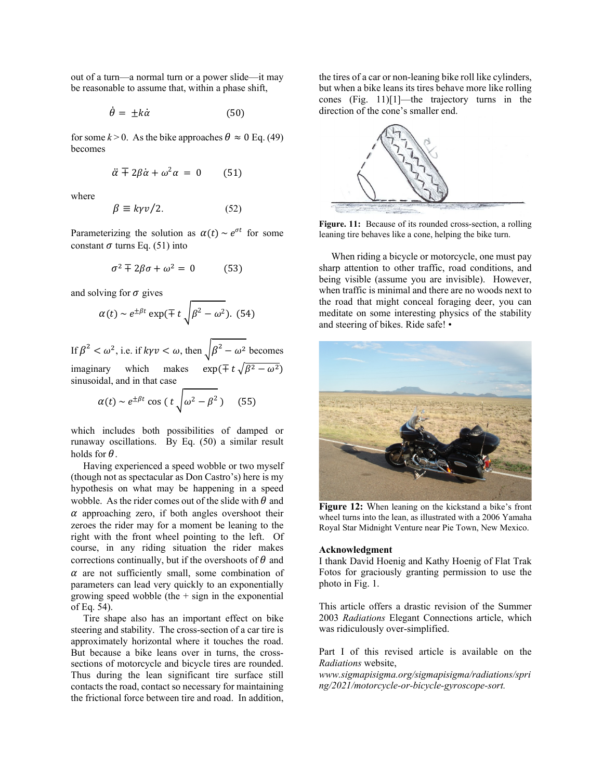out of a turn—a normal turn or a power slide—it may be reasonable to assume that, within a phase shift,

$$
\dot{\theta} = \pm k \dot{\alpha} \tag{50}
$$

for some  $k > 0$ . As the bike approaches  $\theta \approx 0$  Eq. (49) becomes

$$
\ddot{\alpha} \mp 2\beta \dot{\alpha} + \omega^2 \alpha = 0 \qquad (51)
$$

where

$$
\beta \equiv k\gamma v/2. \tag{52}
$$

Parameterizing the solution as  $\alpha(t) \sim e^{\sigma t}$  for some constant  $\sigma$  turns Eq. (51) into

$$
\sigma^2 \mp 2\beta \sigma + \omega^2 = 0 \tag{53}
$$

and solving for  $\sigma$  gives

$$
\alpha(t) \sim e^{\pm \beta t} \exp(\mp t \sqrt{\beta^2 - \omega^2}).
$$
 (54)

If  $\beta^2 < \omega^2$ , i.e. if  $k\gamma v < \omega$ , then  $\sqrt{\beta^2 - \omega^2}$  becomes imaginary which makes  $\exp(\mp t \sqrt{\beta^2 - \omega^2})$ sinusoidal, and in that case

$$
\alpha(t) \sim e^{\pm \beta t} \cos\left(t \sqrt{\omega^2 - \beta^2}\right) \quad (55)
$$

which includes both possibilities of damped or runaway oscillations. By Eq. (50) a similar result holds for  $\theta$ .

 Having experienced a speed wobble or two myself (though not as spectacular as Don Castro's) here is my hypothesis on what may be happening in a speed wobble. As the rider comes out of the slide with  $\theta$  and  $\alpha$  approaching zero, if both angles overshoot their zeroes the rider may for a moment be leaning to the right with the front wheel pointing to the left. Of course, in any riding situation the rider makes corrections continually, but if the overshoots of  $\theta$  and  $\alpha$  are not sufficiently small, some combination of parameters can lead very quickly to an exponentially growing speed wobble (the  $+$  sign in the exponential of Eq. 54).

 Tire shape also has an important effect on bike steering and stability. The cross-section of a car tire is approximately horizontal where it touches the road. But because a bike leans over in turns, the crosssections of motorcycle and bicycle tires are rounded. Thus during the lean significant tire surface still contacts the road, contact so necessary for maintaining the frictional force between tire and road. In addition, the tires of a car or non-leaning bike roll like cylinders, but when a bike leans its tires behave more like rolling cones (Fig. 11)[1]—the trajectory turns in the direction of the cone's smaller end.



Figure. 11: Because of its rounded cross-section, a rolling leaning tire behaves like a cone, helping the bike turn.

 When riding a bicycle or motorcycle, one must pay sharp attention to other traffic, road conditions, and being visible (assume you are invisible). However, when traffic is minimal and there are no woods next to the road that might conceal foraging deer, you can meditate on some interesting physics of the stability and steering of bikes. Ride safe! •



**Figure 12:** When leaning on the kickstand a bike's front wheel turns into the lean, as illustrated with a 2006 Yamaha Royal Star Midnight Venture near Pie Town, New Mexico.

#### **Acknowledgment**

I thank David Hoenig and Kathy Hoenig of Flat Trak Fotos for graciously granting permission to use the photo in Fig. 1.

This article offers a drastic revision of the Summer 2003 *Radiations* Elegant Connections article, which was ridiculously over-simplified.

Part I of this revised article is available on the *Radiations* website,

*www.sigmapisigma.org/sigmapisigma/radiations/spri ng/2021/motorcycle-or-bicycle-gyroscope-sort.*